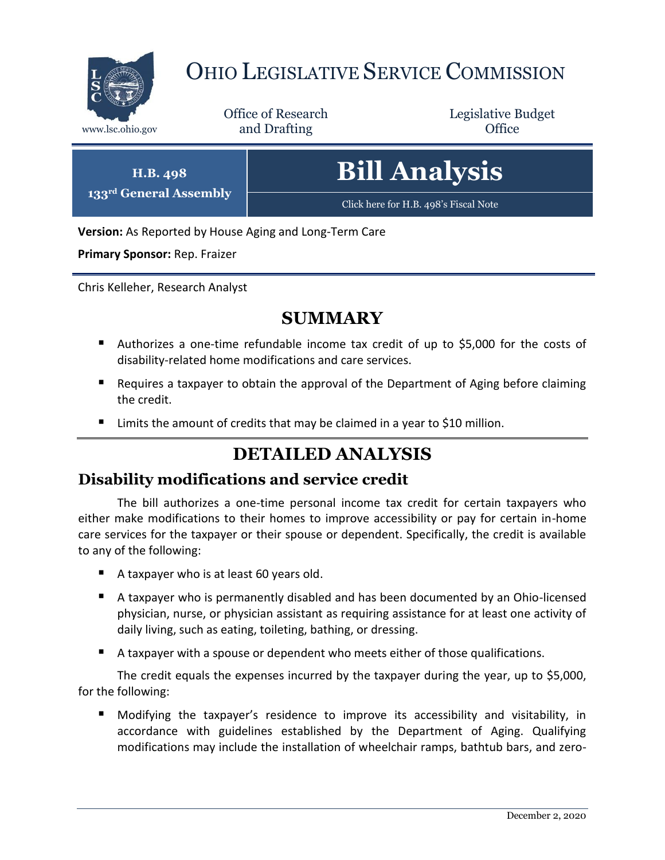

# OHIO LEGISLATIVE SERVICE COMMISSION

Office of Research www.lsc.ohio.gov **and Drafting Office** 

Legislative Budget

**H.B. 498 133rd General Assembly** **Bill Analysis**

[Click here for H.B. 498](https://www.legislature.ohio.gov/legislation/legislation-documents?id=GA133-HB-498)'s Fiscal Note

**Version:** As Reported by House Aging and Long-Term Care

**Primary Sponsor:** Rep. Fraizer

Chris Kelleher, Research Analyst

## **SUMMARY**

- Authorizes a one-time refundable income tax credit of up to \$5,000 for the costs of disability-related home modifications and care services.
- Requires a taxpayer to obtain the approval of the Department of Aging before claiming the credit.
- Limits the amount of credits that may be claimed in a year to \$10 million.

# **DETAILED ANALYSIS**

#### **Disability modifications and service credit**

The bill authorizes a one-time personal income tax credit for certain taxpayers who either make modifications to their homes to improve accessibility or pay for certain in-home care services for the taxpayer or their spouse or dependent. Specifically, the credit is available to any of the following:

- A taxpayer who is at least 60 years old.
- A taxpayer who is permanently disabled and has been documented by an Ohio-licensed physician, nurse, or physician assistant as requiring assistance for at least one activity of daily living, such as eating, toileting, bathing, or dressing.
- A taxpayer with a spouse or dependent who meets either of those qualifications.

The credit equals the expenses incurred by the taxpayer during the year, up to \$5,000, for the following:

 Modifying the taxpayer's residence to improve its accessibility and visitability, in accordance with guidelines established by the Department of Aging. Qualifying modifications may include the installation of wheelchair ramps, bathtub bars, and zero